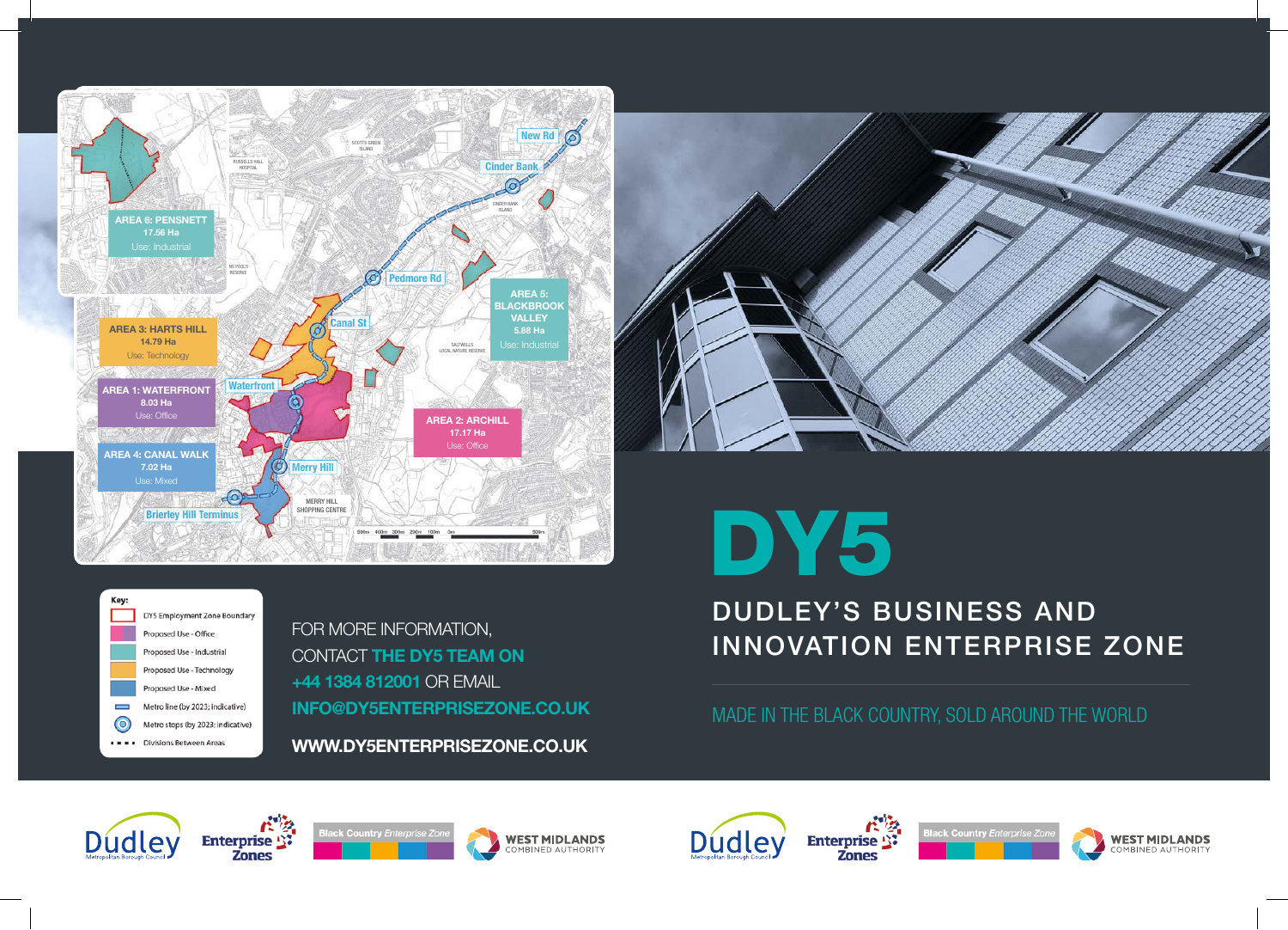



Key: DY5 Employment Zone Boundary Proposed Use - Office Proposed Use - Industrial Proposed Use - Technology Proposed Use - Mixed Metro line (by 2023; indicative)  $\circ$ Metro stops (by 2023; indicative) Divisions Between Areas

FOR MORE INFORMATION, CONTACT **THE DY5 TEAM ON +44 1384 812001** OR EMAIL **INFO@DY5ENTERPRISEZONE.CO.UK**

**WWW.DY5ENTERPRISEZONE.CO.UK**

## DY5

## DUDLEY'S BUSINESS AND INNOVATION ENTERPRISE ZONE

MADE IN THE BLACK COUNTRY, SOLD AROUND THE WORLD

**Zones**